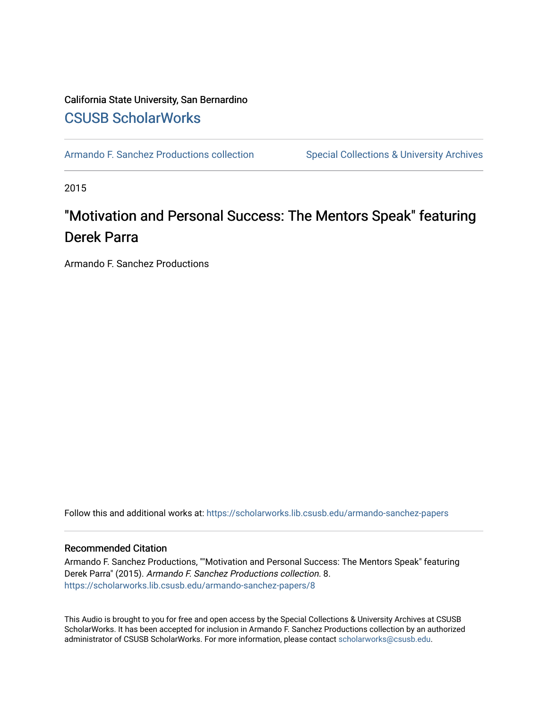## California State University, San Bernardino [CSUSB ScholarWorks](https://scholarworks.lib.csusb.edu/)

[Armando F. Sanchez Productions collection](https://scholarworks.lib.csusb.edu/armando-sanchez-papers) Special Collections & University Archives

2015

# "Motivation and Personal Success: The Mentors Speak" featuring Derek Parra

Armando F. Sanchez Productions

Follow this and additional works at: [https://scholarworks.lib.csusb.edu/armando-sanchez-papers](https://scholarworks.lib.csusb.edu/armando-sanchez-papers?utm_source=scholarworks.lib.csusb.edu%2Farmando-sanchez-papers%2F8&utm_medium=PDF&utm_campaign=PDFCoverPages) 

#### Recommended Citation

Armando F. Sanchez Productions, ""Motivation and Personal Success: The Mentors Speak" featuring Derek Parra" (2015). Armando F. Sanchez Productions collection. 8. [https://scholarworks.lib.csusb.edu/armando-sanchez-papers/8](https://scholarworks.lib.csusb.edu/armando-sanchez-papers/8?utm_source=scholarworks.lib.csusb.edu%2Farmando-sanchez-papers%2F8&utm_medium=PDF&utm_campaign=PDFCoverPages)

This Audio is brought to you for free and open access by the Special Collections & University Archives at CSUSB ScholarWorks. It has been accepted for inclusion in Armando F. Sanchez Productions collection by an authorized administrator of CSUSB ScholarWorks. For more information, please contact [scholarworks@csusb.edu](mailto:scholarworks@csusb.edu).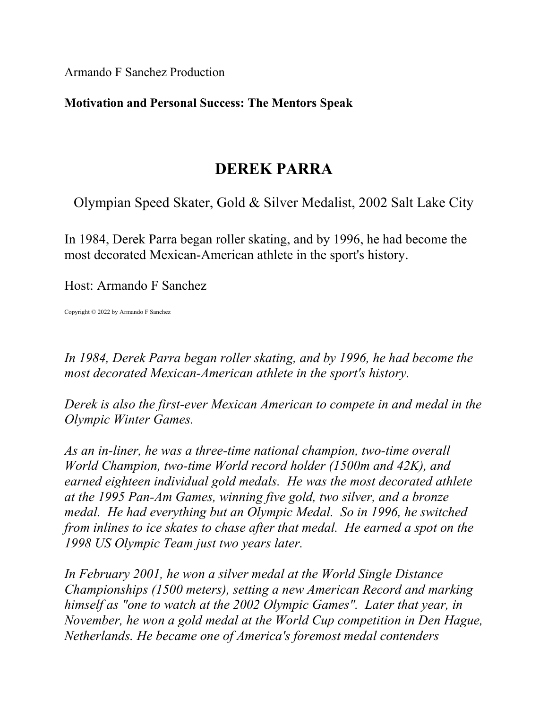Armando F Sanchez Production

### **Motivation and Personal Success: The Mentors Speak**

## **DEREK PARRA**

Olympian Speed Skater, Gold & Silver Medalist, 2002 Salt Lake City

In 1984, Derek Parra began roller skating, and by 1996, he had become the most decorated Mexican-American athlete in the sport's history.

Host: Armando F Sanchez

Copyright © 2022 by Armando F Sanchez

*In 1984, Derek Parra began roller skating, and by 1996, he had become the most decorated Mexican-American athlete in the sport's history.* 

*Derek is also the first-ever Mexican American to compete in and medal in the Olympic Winter Games.*

*As an in-liner, he was a three-time national champion, two-time overall World Champion, two-time World record holder (1500m and 42K), and earned eighteen individual gold medals. He was the most decorated athlete at the 1995 Pan-Am Games, winning five gold, two silver, and a bronze medal. He had everything but an Olympic Medal. So in 1996, he switched from inlines to ice skates to chase after that medal. He earned a spot on the 1998 US Olympic Team just two years later.*

*In February 2001, he won a silver medal at the World Single Distance Championships (1500 meters), setting a new American Record and marking himself as "one to watch at the 2002 Olympic Games". Later that year, in November, he won a gold medal at the World Cup competition in Den Hague, Netherlands. He became one of America's foremost medal contenders*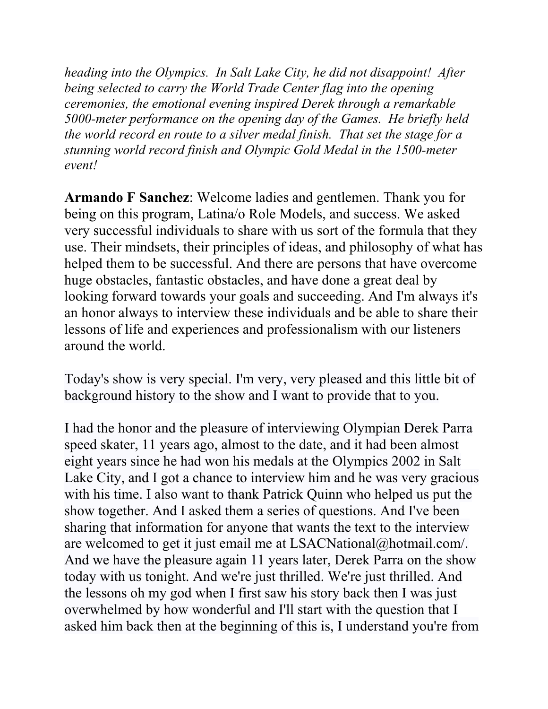*heading into the Olympics. In Salt Lake City, he did not disappoint! After being selected to carry the World Trade Center flag into the opening ceremonies, the emotional evening inspired Derek through a remarkable 5000-meter performance on the opening day of the Games. He briefly held the world record en route to a silver medal finish. That set the stage for a stunning world record finish and Olympic Gold Medal in the 1500-meter event!*

**Armando F Sanchez**: Welcome ladies and gentlemen. Thank you for being on this program, Latina/o Role Models, and success. We asked very successful individuals to share with us sort of the formula that they use. Their mindsets, their principles of ideas, and philosophy of what has helped them to be successful. And there are persons that have overcome huge obstacles, fantastic obstacles, and have done a great deal by looking forward towards your goals and succeeding. And I'm always it's an honor always to interview these individuals and be able to share their lessons of life and experiences and professionalism with our listeners around the world.

Today's show is very special. I'm very, very pleased and this little bit of background history to the show and I want to provide that to you.

I had the honor and the pleasure of interviewing Olympian Derek Parra speed skater, 11 years ago, almost to the date, and it had been almost eight years since he had won his medals at the Olympics 2002 in Salt Lake City, and I got a chance to interview him and he was very gracious with his time. I also want to thank Patrick Quinn who helped us put the show together. And I asked them a series of questions. And I've been sharing that information for anyone that wants the text to the interview are welcomed to get it just email me at LSACNational@hotmail.com/. And we have the pleasure again 11 years later, Derek Parra on the show today with us tonight. And we're just thrilled. We're just thrilled. And the lessons oh my god when I first saw his story back then I was just overwhelmed by how wonderful and I'll start with the question that I asked him back then at the beginning of this is, I understand you're from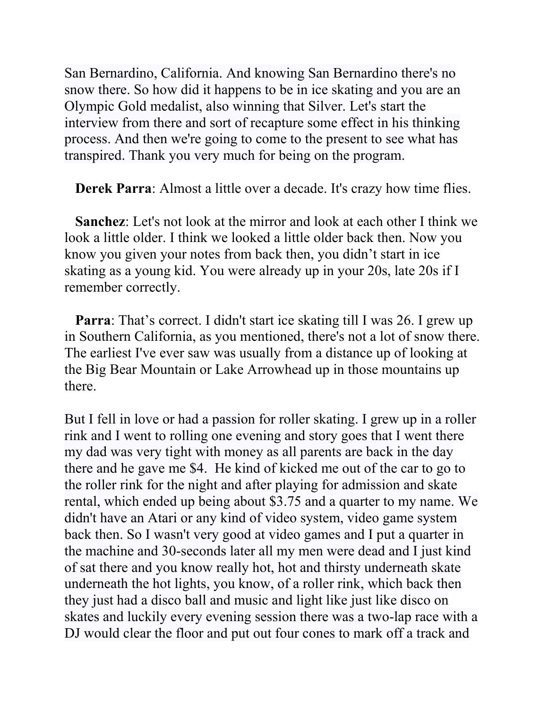San Bernardino, California. And knowing San Bernardino there's no snow there. So how did it happens to be in ice skating and you are an Olympic Gold medalist, also winning that Silver. Let's start the interview from there and sort of recapture some effect in his thinking process. And then we're going to come to the present to see what has transpired. Thank you very much for being on the program.

**Derek Parra**: Almost a little over a decade. It's crazy how time flies.

**Sanchez**: Let's not look at the mirror and look at each other I think we look a little older. I think we looked a little older back then. Now you know you given your notes from back then, you didn't start in ice skating as a young kid. You were already up in your 20s, late 20s if I remember correctly.

**Parra**: That's correct. I didn't start ice skating till I was 26. I grew up in Southern California, as you mentioned, there's not a lot of snow there. The earliest I've ever saw was usually from a distance up of looking at the Big Bear Mountain or Lake Arrowhead up in those mountains up there.

But I fell in love or had a passion for roller skating. I grew up in a roller rink and I went to rolling one evening and story goes that I went there my dad was very tight with money as all parents are back in the day there and he gave me \$4. He kind of kicked me out of the car to go to the roller rink for the night and after playing for admission and skate rental, which ended up being about \$3.75 and a quarter to my name. We didn't have an Atari or any kind of video system, video game system back then. So I wasn't very good at video games and I put a quarter in the machine and 30-seconds later all my men were dead and I just kind of sat there and you know really hot, hot and thirsty underneath skate underneath the hot lights, you know, of a roller rink, which back then they just had a disco ball and music and light like just like disco on skates and luckily every evening session there was a two-lap race with a DJ would clear the floor and put out four cones to mark off a track and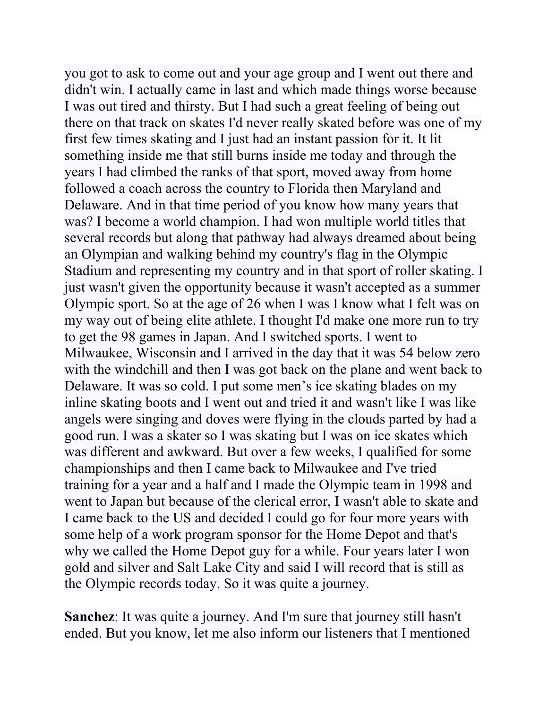you got to ask to come out and your age group and I went out there and didn't win. I actually came in last and which made things worse because I was out tired and thirsty. But I had such a great feeling of being out there on that track on skates I'd never really skated before was one of my first few times skating and I just had an instant passion for it. It lit something inside me that still burns inside me today and through the years I had climbed the ranks of that sport, moved away from home followed a coach across the country to Florida then Maryland and Delaware. And in that time period of you know how many years that was? I become a world champion. I had won multiple world titles that several records but along that pathway had always dreamed about being an Olympian and walking behind my country's flag in the Olympic Stadium and representing my country and in that sport of roller skating. I just wasn't given the opportunity because it wasn't accepted as a summer Olympic sport. So at the age of 26 when I was I know what I felt was on my way out of being elite athlete. I thought I'd make one more run to try to get the 98 games in Japan. And I switched sports. I went to Milwaukee, Wisconsin and I arrived in the day that it was 54 below zero with the windchill and then I was got back on the plane and went back to Delaware. It was so cold. I put some men's ice skating blades on my inline skating boots and I went out and tried it and wasn't like I was like angels were singing and doves were flying in the clouds parted by had a good run. I was a skater so I was skating but I was on ice skates which was different and awkward. But over a few weeks, I qualified for some championships and then I came back to Milwaukee and I've tried training for a year and a half and I made the Olympic team in 1998 and went to Japan but because of the clerical error, I wasn't able to skate and I came back to the US and decided I could go for four more years with some help of a work program sponsor for the Home Depot and that's why we called the Home Depot guy for a while. Four years later I won gold and silver and Salt Lake City and said I will record that is still as the Olympic records today. So it was quite a journey.

**Sanchez**: It was quite a journey. And I'm sure that journey still hasn't ended. But you know, let me also inform our listeners that I mentioned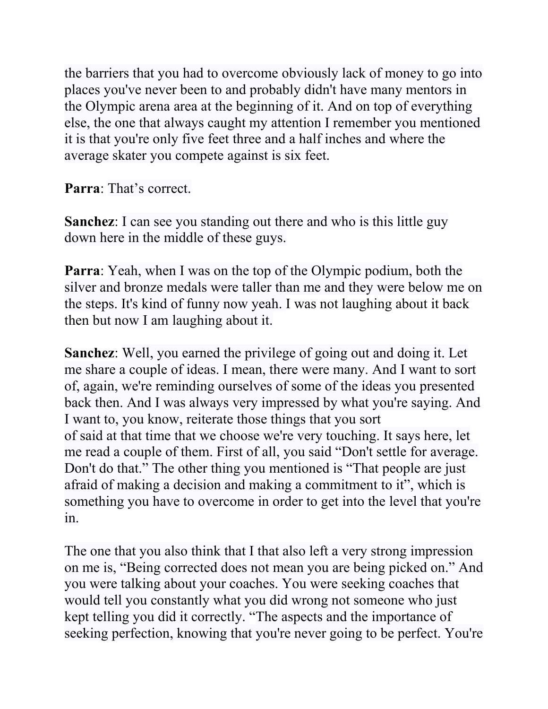the barriers that you had to overcome obviously lack of money to go into places you've never been to and probably didn't have many mentors in the Olympic arena area at the beginning of it. And on top of everything else, the one that always caught my attention I remember you mentioned it is that you're only five feet three and a half inches and where the average skater you compete against is six feet.

**Parra**: That's correct.

**Sanchez**: I can see you standing out there and who is this little guy down here in the middle of these guys.

**Parra**: Yeah, when I was on the top of the Olympic podium, both the silver and bronze medals were taller than me and they were below me on the steps. It's kind of funny now yeah. I was not laughing about it back then but now I am laughing about it.

**Sanchez**: Well, you earned the privilege of going out and doing it. Let me share a couple of ideas. I mean, there were many. And I want to sort of, again, we're reminding ourselves of some of the ideas you presented back then. And I was always very impressed by what you're saying. And I want to, you know, reiterate those things that you sort of said at that time that we choose we're very touching. It says here, let me read a couple of them. First of all, you said "Don't settle for average. Don't do that." The other thing you mentioned is "That people are just afraid of making a decision and making a commitment to it", which is something you have to overcome in order to get into the level that you're in.

The one that you also think that I that also left a very strong impression on me is, "Being corrected does not mean you are being picked on." And you were talking about your coaches. You were seeking coaches that would tell you constantly what you did wrong not someone who just kept telling you did it correctly. "The aspects and the importance of seeking perfection, knowing that you're never going to be perfect. You're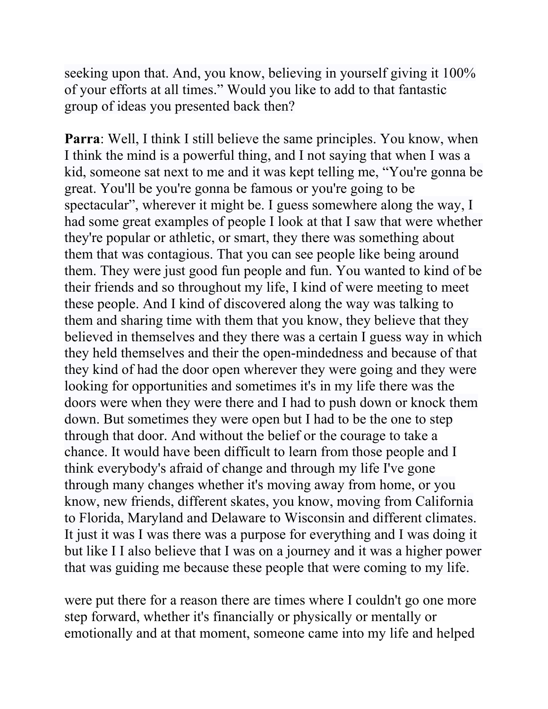seeking upon that. And, you know, believing in yourself giving it 100% of your efforts at all times." Would you like to add to that fantastic group of ideas you presented back then?

**Parra**: Well, I think I still believe the same principles. You know, when I think the mind is a powerful thing, and I not saying that when I was a kid, someone sat next to me and it was kept telling me, "You're gonna be great. You'll be you're gonna be famous or you're going to be spectacular", wherever it might be. I guess somewhere along the way, I had some great examples of people I look at that I saw that were whether they're popular or athletic, or smart, they there was something about them that was contagious. That you can see people like being around them. They were just good fun people and fun. You wanted to kind of be their friends and so throughout my life, I kind of were meeting to meet these people. And I kind of discovered along the way was talking to them and sharing time with them that you know, they believe that they believed in themselves and they there was a certain I guess way in which they held themselves and their the open-mindedness and because of that they kind of had the door open wherever they were going and they were looking for opportunities and sometimes it's in my life there was the doors were when they were there and I had to push down or knock them down. But sometimes they were open but I had to be the one to step through that door. And without the belief or the courage to take a chance. It would have been difficult to learn from those people and I think everybody's afraid of change and through my life I've gone through many changes whether it's moving away from home, or you know, new friends, different skates, you know, moving from California to Florida, Maryland and Delaware to Wisconsin and different climates. It just it was I was there was a purpose for everything and I was doing it but like I I also believe that I was on a journey and it was a higher power that was guiding me because these people that were coming to my life.

were put there for a reason there are times where I couldn't go one more step forward, whether it's financially or physically or mentally or emotionally and at that moment, someone came into my life and helped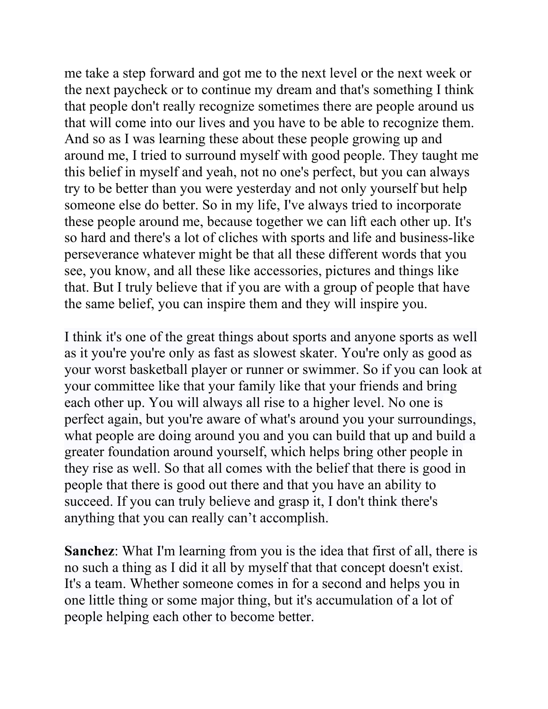me take a step forward and got me to the next level or the next week or the next paycheck or to continue my dream and that's something I think that people don't really recognize sometimes there are people around us that will come into our lives and you have to be able to recognize them. And so as I was learning these about these people growing up and around me, I tried to surround myself with good people. They taught me this belief in myself and yeah, not no one's perfect, but you can always try to be better than you were yesterday and not only yourself but help someone else do better. So in my life, I've always tried to incorporate these people around me, because together we can lift each other up. It's so hard and there's a lot of cliches with sports and life and business-like perseverance whatever might be that all these different words that you see, you know, and all these like accessories, pictures and things like that. But I truly believe that if you are with a group of people that have the same belief, you can inspire them and they will inspire you.

I think it's one of the great things about sports and anyone sports as well as it you're you're only as fast as slowest skater. You're only as good as your worst basketball player or runner or swimmer. So if you can look at your committee like that your family like that your friends and bring each other up. You will always all rise to a higher level. No one is perfect again, but you're aware of what's around you your surroundings, what people are doing around you and you can build that up and build a greater foundation around yourself, which helps bring other people in they rise as well. So that all comes with the belief that there is good in people that there is good out there and that you have an ability to succeed. If you can truly believe and grasp it, I don't think there's anything that you can really can't accomplish.

**Sanchez**: What I'm learning from you is the idea that first of all, there is no such a thing as I did it all by myself that that concept doesn't exist. It's a team. Whether someone comes in for a second and helps you in one little thing or some major thing, but it's accumulation of a lot of people helping each other to become better.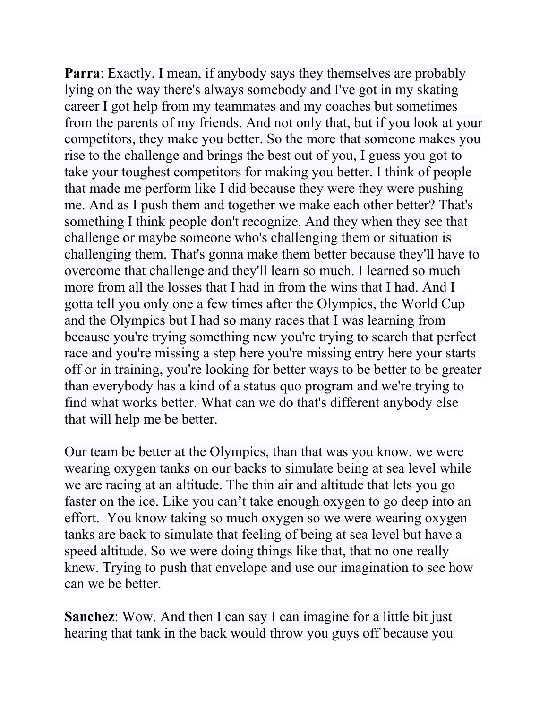**Parra**: Exactly. I mean, if anybody says they themselves are probably lying on the way there's always somebody and I've got in my skating career I got help from my teammates and my coaches but sometimes from the parents of my friends. And not only that, but if you look at your competitors, they make you better. So the more that someone makes you rise to the challenge and brings the best out of you, I guess you got to take your toughest competitors for making you better. I think of people that made me perform like I did because they were they were pushing me. And as I push them and together we make each other better? That's something I think people don't recognize. And they when they see that challenge or maybe someone who's challenging them or situation is challenging them. That's gonna make them better because they'll have to overcome that challenge and they'll learn so much. I learned so much more from all the losses that I had in from the wins that I had. And I gotta tell you only one a few times after the Olympics, the World Cup and the Olympics but I had so many races that I was learning from because you're trying something new you're trying to search that perfect race and you're missing a step here you're missing entry here your starts off or in training, you're looking for better ways to be better to be greater than everybody has a kind of a status quo program and we're trying to find what works better. What can we do that's different anybody else that will help me be better.

Our team be better at the Olympics, than that was you know, we were wearing oxygen tanks on our backs to simulate being at sea level while we are racing at an altitude. The thin air and altitude that lets you go faster on the ice. Like you can't take enough oxygen to go deep into an effort. You know taking so much oxygen so we were wearing oxygen tanks are back to simulate that feeling of being at sea level but have a speed altitude. So we were doing things like that, that no one really knew. Trying to push that envelope and use our imagination to see how can we be better.

**Sanchez**: Wow. And then I can say I can imagine for a little bit just hearing that tank in the back would throw you guys off because you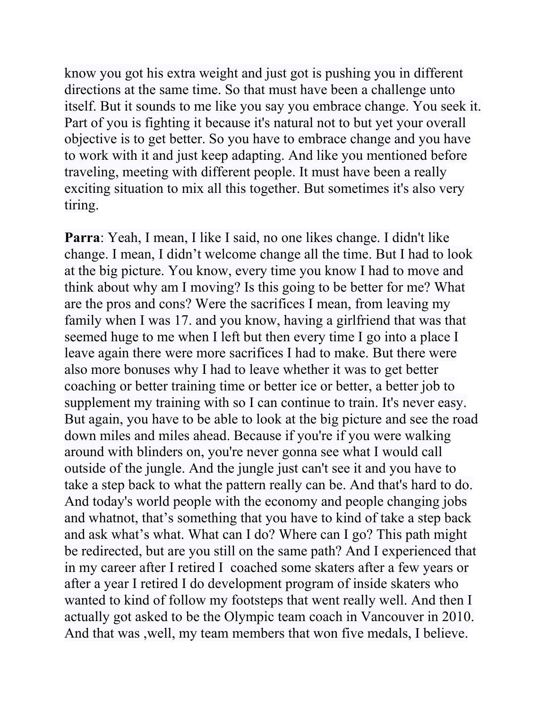know you got his extra weight and just got is pushing you in different directions at the same time. So that must have been a challenge unto itself. But it sounds to me like you say you embrace change. You seek it. Part of you is fighting it because it's natural not to but yet your overall objective is to get better. So you have to embrace change and you have to work with it and just keep adapting. And like you mentioned before traveling, meeting with different people. It must have been a really exciting situation to mix all this together. But sometimes it's also very tiring.

**Parra**: Yeah, I mean, I like I said, no one likes change. I didn't like change. I mean, I didn't welcome change all the time. But I had to look at the big picture. You know, every time you know I had to move and think about why am I moving? Is this going to be better for me? What are the pros and cons? Were the sacrifices I mean, from leaving my family when I was 17. and you know, having a girlfriend that was that seemed huge to me when I left but then every time I go into a place I leave again there were more sacrifices I had to make. But there were also more bonuses why I had to leave whether it was to get better coaching or better training time or better ice or better, a better job to supplement my training with so I can continue to train. It's never easy. But again, you have to be able to look at the big picture and see the road down miles and miles ahead. Because if you're if you were walking around with blinders on, you're never gonna see what I would call outside of the jungle. And the jungle just can't see it and you have to take a step back to what the pattern really can be. And that's hard to do. And today's world people with the economy and people changing jobs and whatnot, that's something that you have to kind of take a step back and ask what's what. What can I do? Where can I go? This path might be redirected, but are you still on the same path? And I experienced that in my career after I retired I coached some skaters after a few years or after a year I retired I do development program of inside skaters who wanted to kind of follow my footsteps that went really well. And then I actually got asked to be the Olympic team coach in Vancouver in 2010. And that was ,well, my team members that won five medals, I believe.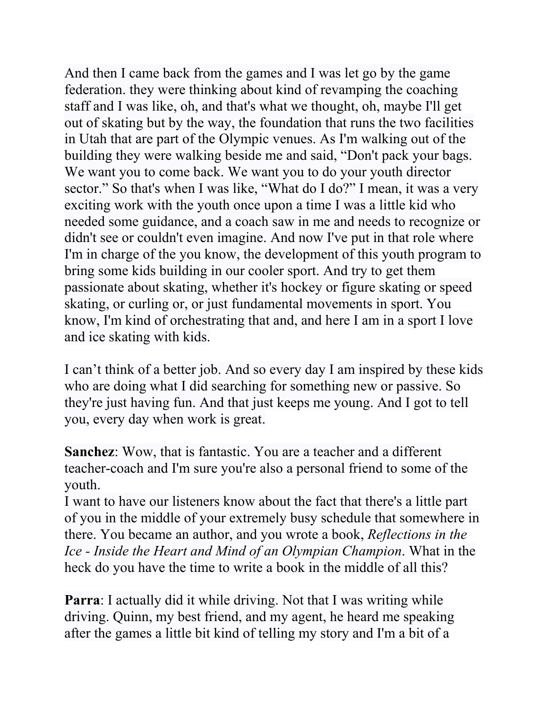And then I came back from the games and I was let go by the game federation. they were thinking about kind of revamping the coaching staff and I was like, oh, and that's what we thought, oh, maybe I'll get out of skating but by the way, the foundation that runs the two facilities in Utah that are part of the Olympic venues. As I'm walking out of the building they were walking beside me and said, "Don't pack your bags. We want you to come back. We want you to do your youth director sector." So that's when I was like, "What do I do?" I mean, it was a very exciting work with the youth once upon a time I was a little kid who needed some guidance, and a coach saw in me and needs to recognize or didn't see or couldn't even imagine. And now I've put in that role where I'm in charge of the you know, the development of this youth program to bring some kids building in our cooler sport. And try to get them passionate about skating, whether it's hockey or figure skating or speed skating, or curling or, or just fundamental movements in sport. You know, I'm kind of orchestrating that and, and here I am in a sport I love and ice skating with kids.

I can't think of a better job. And so every day I am inspired by these kids who are doing what I did searching for something new or passive. So they're just having fun. And that just keeps me young. And I got to tell you, every day when work is great.

**Sanchez**: Wow, that is fantastic. You are a teacher and a different teacher-coach and I'm sure you're also a personal friend to some of the youth.

I want to have our listeners know about the fact that there's a little part of you in the middle of your extremely busy schedule that somewhere in there. You became an author, and you wrote a book, *Reflections in the Ice - Inside the Heart and Mind of an Olympian Champion*. What in the heck do you have the time to write a book in the middle of all this?

**Parra**: I actually did it while driving. Not that I was writing while driving. Quinn, my best friend, and my agent, he heard me speaking after the games a little bit kind of telling my story and I'm a bit of a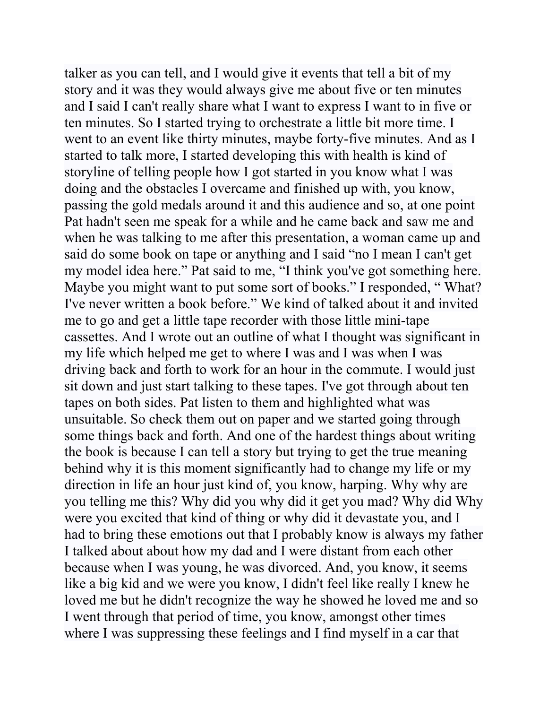talker as you can tell, and I would give it events that tell a bit of my story and it was they would always give me about five or ten minutes and I said I can't really share what I want to express I want to in five or ten minutes. So I started trying to orchestrate a little bit more time. I went to an event like thirty minutes, maybe forty-five minutes. And as I started to talk more, I started developing this with health is kind of storyline of telling people how I got started in you know what I was doing and the obstacles I overcame and finished up with, you know, passing the gold medals around it and this audience and so, at one point Pat hadn't seen me speak for a while and he came back and saw me and when he was talking to me after this presentation, a woman came up and said do some book on tape or anything and I said "no I mean I can't get my model idea here." Pat said to me, "I think you've got something here. Maybe you might want to put some sort of books." I responded, "What? I've never written a book before." We kind of talked about it and invited me to go and get a little tape recorder with those little mini-tape cassettes. And I wrote out an outline of what I thought was significant in my life which helped me get to where I was and I was when I was driving back and forth to work for an hour in the commute. I would just sit down and just start talking to these tapes. I've got through about ten tapes on both sides. Pat listen to them and highlighted what was unsuitable. So check them out on paper and we started going through some things back and forth. And one of the hardest things about writing the book is because I can tell a story but trying to get the true meaning behind why it is this moment significantly had to change my life or my direction in life an hour just kind of, you know, harping. Why why are you telling me this? Why did you why did it get you mad? Why did Why were you excited that kind of thing or why did it devastate you, and I had to bring these emotions out that I probably know is always my father I talked about about how my dad and I were distant from each other because when I was young, he was divorced. And, you know, it seems like a big kid and we were you know, I didn't feel like really I knew he loved me but he didn't recognize the way he showed he loved me and so I went through that period of time, you know, amongst other times where I was suppressing these feelings and I find myself in a car that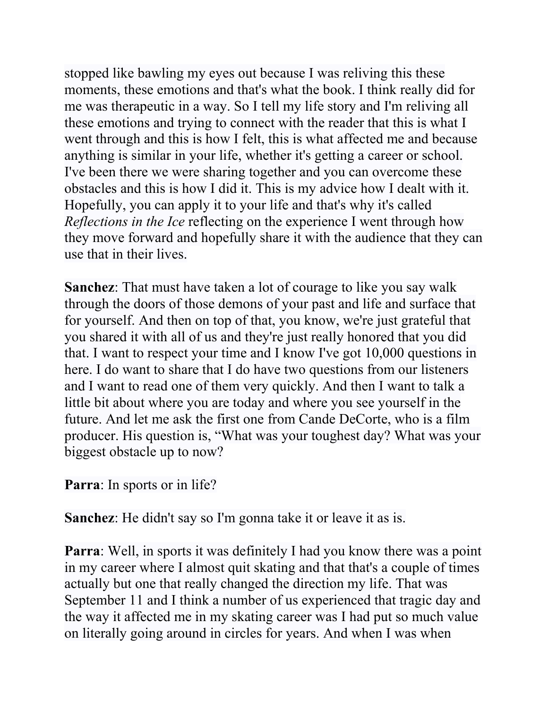stopped like bawling my eyes out because I was reliving this these moments, these emotions and that's what the book. I think really did for me was therapeutic in a way. So I tell my life story and I'm reliving all these emotions and trying to connect with the reader that this is what I went through and this is how I felt, this is what affected me and because anything is similar in your life, whether it's getting a career or school. I've been there we were sharing together and you can overcome these obstacles and this is how I did it. This is my advice how I dealt with it. Hopefully, you can apply it to your life and that's why it's called *Reflections in the Ice* reflecting on the experience I went through how they move forward and hopefully share it with the audience that they can use that in their lives.

**Sanchez**: That must have taken a lot of courage to like you say walk through the doors of those demons of your past and life and surface that for yourself. And then on top of that, you know, we're just grateful that you shared it with all of us and they're just really honored that you did that. I want to respect your time and I know I've got 10,000 questions in here. I do want to share that I do have two questions from our listeners and I want to read one of them very quickly. And then I want to talk a little bit about where you are today and where you see yourself in the future. And let me ask the first one from Cande DeCorte, who is a film producer. His question is, "What was your toughest day? What was your biggest obstacle up to now?

**Parra**: In sports or in life?

**Sanchez**: He didn't say so I'm gonna take it or leave it as is.

**Parra:** Well, in sports it was definitely I had you know there was a point in my career where I almost quit skating and that that's a couple of times actually but one that really changed the direction my life. That was September 11 and I think a number of us experienced that tragic day and the way it affected me in my skating career was I had put so much value on literally going around in circles for years. And when I was when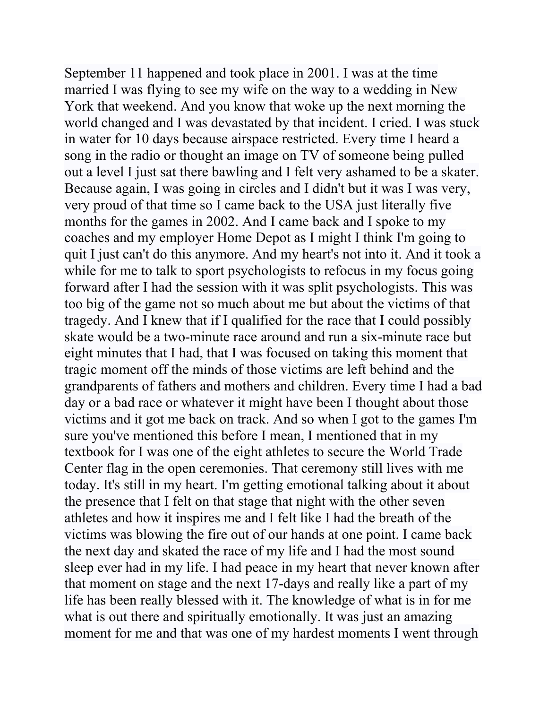September 11 happened and took place in 2001. I was at the time married I was flying to see my wife on the way to a wedding in New York that weekend. And you know that woke up the next morning the world changed and I was devastated by that incident. I cried. I was stuck in water for 10 days because airspace restricted. Every time I heard a song in the radio or thought an image on TV of someone being pulled out a level I just sat there bawling and I felt very ashamed to be a skater. Because again, I was going in circles and I didn't but it was I was very, very proud of that time so I came back to the USA just literally five months for the games in 2002. And I came back and I spoke to my coaches and my employer Home Depot as I might I think I'm going to quit I just can't do this anymore. And my heart's not into it. And it took a while for me to talk to sport psychologists to refocus in my focus going forward after I had the session with it was split psychologists. This was too big of the game not so much about me but about the victims of that tragedy. And I knew that if I qualified for the race that I could possibly skate would be a two-minute race around and run a six-minute race but eight minutes that I had, that I was focused on taking this moment that tragic moment off the minds of those victims are left behind and the grandparents of fathers and mothers and children. Every time I had a bad day or a bad race or whatever it might have been I thought about those victims and it got me back on track. And so when I got to the games I'm sure you've mentioned this before I mean, I mentioned that in my textbook for I was one of the eight athletes to secure the World Trade Center flag in the open ceremonies. That ceremony still lives with me today. It's still in my heart. I'm getting emotional talking about it about the presence that I felt on that stage that night with the other seven athletes and how it inspires me and I felt like I had the breath of the victims was blowing the fire out of our hands at one point. I came back the next day and skated the race of my life and I had the most sound sleep ever had in my life. I had peace in my heart that never known after that moment on stage and the next 17-days and really like a part of my life has been really blessed with it. The knowledge of what is in for me what is out there and spiritually emotionally. It was just an amazing moment for me and that was one of my hardest moments I went through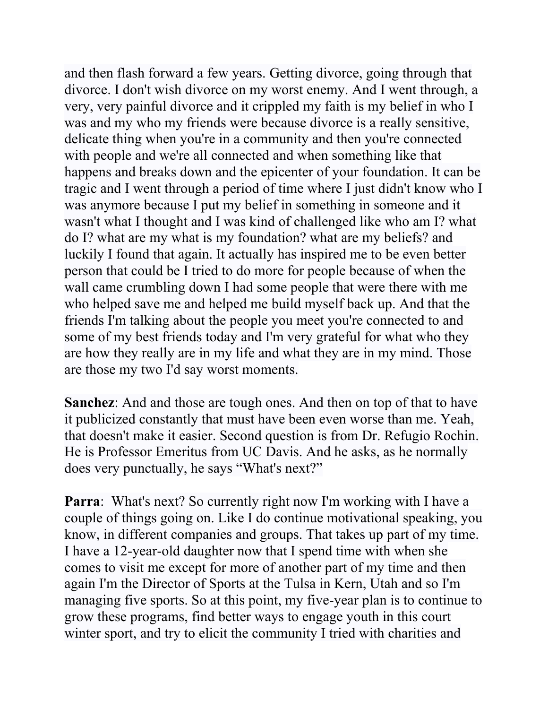and then flash forward a few years. Getting divorce, going through that divorce. I don't wish divorce on my worst enemy. And I went through, a very, very painful divorce and it crippled my faith is my belief in who I was and my who my friends were because divorce is a really sensitive, delicate thing when you're in a community and then you're connected with people and we're all connected and when something like that happens and breaks down and the epicenter of your foundation. It can be tragic and I went through a period of time where I just didn't know who I was anymore because I put my belief in something in someone and it wasn't what I thought and I was kind of challenged like who am I? what do I? what are my what is my foundation? what are my beliefs? and luckily I found that again. It actually has inspired me to be even better person that could be I tried to do more for people because of when the wall came crumbling down I had some people that were there with me who helped save me and helped me build myself back up. And that the friends I'm talking about the people you meet you're connected to and some of my best friends today and I'm very grateful for what who they are how they really are in my life and what they are in my mind. Those are those my two I'd say worst moments.

**Sanchez**: And and those are tough ones. And then on top of that to have it publicized constantly that must have been even worse than me. Yeah, that doesn't make it easier. Second question is from Dr. Refugio Rochin. He is Professor Emeritus from UC Davis. And he asks, as he normally does very punctually, he says "What's next?"

**Parra:** What's next? So currently right now I'm working with I have a couple of things going on. Like I do continue motivational speaking, you know, in different companies and groups. That takes up part of my time. I have a 12-year-old daughter now that I spend time with when she comes to visit me except for more of another part of my time and then again I'm the Director of Sports at the Tulsa in Kern, Utah and so I'm managing five sports. So at this point, my five-year plan is to continue to grow these programs, find better ways to engage youth in this court winter sport, and try to elicit the community I tried with charities and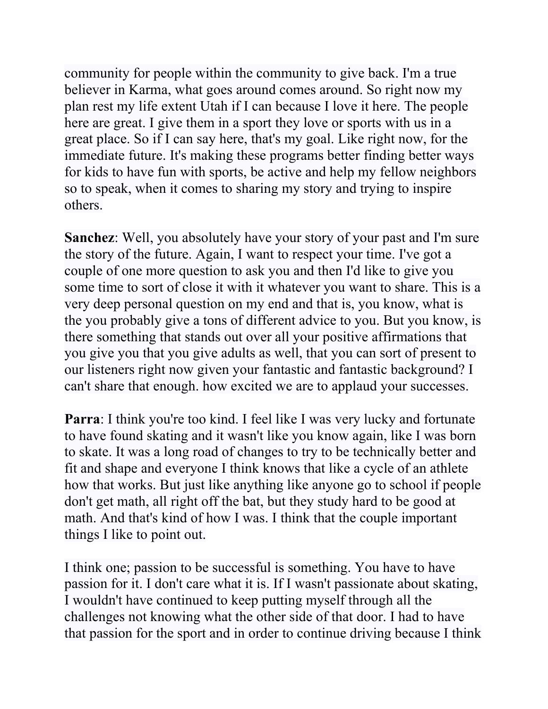community for people within the community to give back. I'm a true believer in Karma, what goes around comes around. So right now my plan rest my life extent Utah if I can because I love it here. The people here are great. I give them in a sport they love or sports with us in a great place. So if I can say here, that's my goal. Like right now, for the immediate future. It's making these programs better finding better ways for kids to have fun with sports, be active and help my fellow neighbors so to speak, when it comes to sharing my story and trying to inspire others.

**Sanchez**: Well, you absolutely have your story of your past and I'm sure the story of the future. Again, I want to respect your time. I've got a couple of one more question to ask you and then I'd like to give you some time to sort of close it with it whatever you want to share. This is a very deep personal question on my end and that is, you know, what is the you probably give a tons of different advice to you. But you know, is there something that stands out over all your positive affirmations that you give you that you give adults as well, that you can sort of present to our listeners right now given your fantastic and fantastic background? I can't share that enough. how excited we are to applaud your successes.

**Parra:** I think you're too kind. I feel like I was very lucky and fortunate to have found skating and it wasn't like you know again, like I was born to skate. It was a long road of changes to try to be technically better and fit and shape and everyone I think knows that like a cycle of an athlete how that works. But just like anything like anyone go to school if people don't get math, all right off the bat, but they study hard to be good at math. And that's kind of how I was. I think that the couple important things I like to point out.

I think one; passion to be successful is something. You have to have passion for it. I don't care what it is. If I wasn't passionate about skating, I wouldn't have continued to keep putting myself through all the challenges not knowing what the other side of that door. I had to have that passion for the sport and in order to continue driving because I think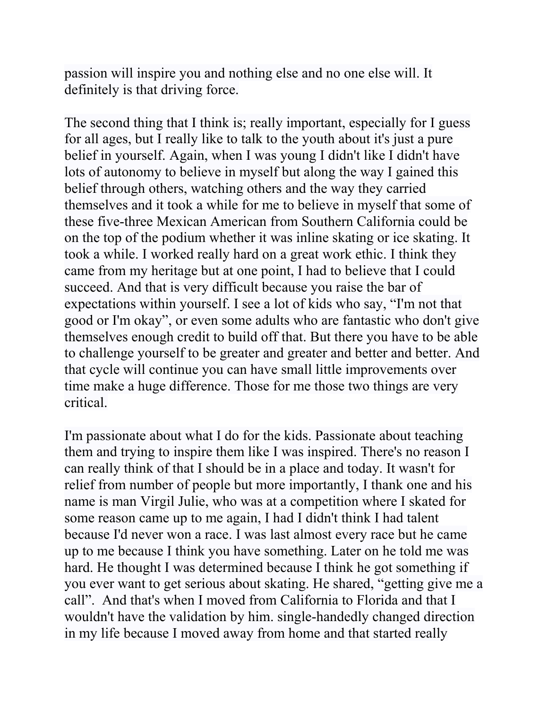passion will inspire you and nothing else and no one else will. It definitely is that driving force.

The second thing that I think is; really important, especially for I guess for all ages, but I really like to talk to the youth about it's just a pure belief in yourself. Again, when I was young I didn't like I didn't have lots of autonomy to believe in myself but along the way I gained this belief through others, watching others and the way they carried themselves and it took a while for me to believe in myself that some of these five-three Mexican American from Southern California could be on the top of the podium whether it was inline skating or ice skating. It took a while. I worked really hard on a great work ethic. I think they came from my heritage but at one point, I had to believe that I could succeed. And that is very difficult because you raise the bar of expectations within yourself. I see a lot of kids who say, "I'm not that good or I'm okay", or even some adults who are fantastic who don't give themselves enough credit to build off that. But there you have to be able to challenge yourself to be greater and greater and better and better. And that cycle will continue you can have small little improvements over time make a huge difference. Those for me those two things are very critical.

I'm passionate about what I do for the kids. Passionate about teaching them and trying to inspire them like I was inspired. There's no reason I can really think of that I should be in a place and today. It wasn't for relief from number of people but more importantly, I thank one and his name is man Virgil Julie, who was at a competition where I skated for some reason came up to me again, I had I didn't think I had talent because I'd never won a race. I was last almost every race but he came up to me because I think you have something. Later on he told me was hard. He thought I was determined because I think he got something if you ever want to get serious about skating. He shared, "getting give me a call". And that's when I moved from California to Florida and that I wouldn't have the validation by him. single-handedly changed direction in my life because I moved away from home and that started really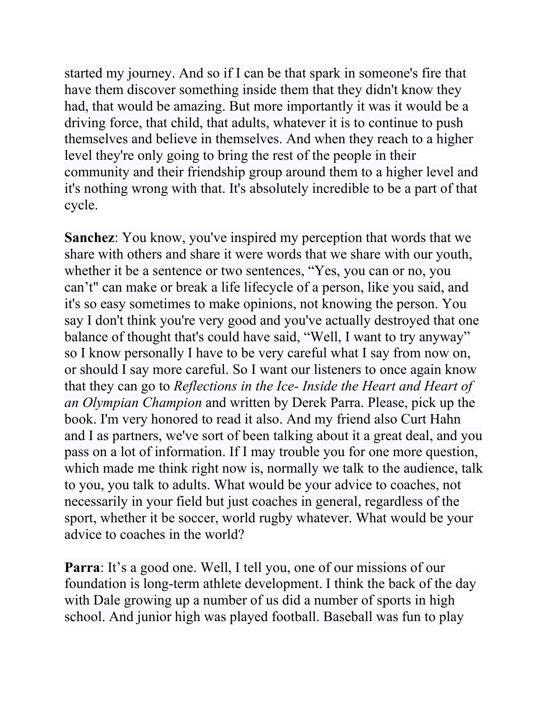started my journey. And so if I can be that spark in someone's fire that have them discover something inside them that they didn't know they had, that would be amazing. But more importantly it was it would be a driving force, that child, that adults, whatever it is to continue to push themselves and believe in themselves. And when they reach to a higher level they're only going to bring the rest of the people in their community and their friendship group around them to a higher level and it's nothing wrong with that. It's absolutely incredible to be a part of that cycle.

**Sanchez**: You know, you've inspired my perception that words that we share with others and share it were words that we share with our youth, whether it be a sentence or two sentences, "Yes, you can or no, you can't" can make or break a life lifecycle of a person, like you said, and it's so easy sometimes to make opinions, not knowing the person. You say I don't think you're very good and you've actually destroyed that one balance of thought that's could have said, "Well, I want to try anyway" so I know personally I have to be very careful what I say from now on, or should I say more careful. So I want our listeners to once again know that they can go to *Reflections in the Ice- Inside the Heart and Heart of an Olympian Champion* and written by Derek Parra. Please, pick up the book. I'm very honored to read it also. And my friend also Curt Hahn and I as partners, we've sort of been talking about it a great deal, and you pass on a lot of information. If I may trouble you for one more question, which made me think right now is, normally we talk to the audience, talk to you, you talk to adults. What would be your advice to coaches, not necessarily in your field but just coaches in general, regardless of the sport, whether it be soccer, world rugby whatever. What would be your advice to coaches in the world?

**Parra**: It's a good one. Well, I tell you, one of our missions of our foundation is long-term athlete development. I think the back of the day with Dale growing up a number of us did a number of sports in high school. And junior high was played football. Baseball was fun to play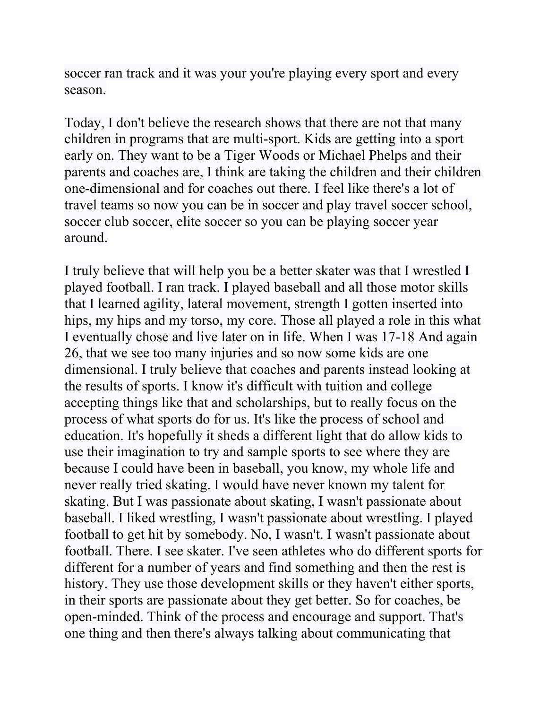soccer ran track and it was your you're playing every sport and every season.

Today, I don't believe the research shows that there are not that many children in programs that are multi-sport. Kids are getting into a sport early on. They want to be a Tiger Woods or Michael Phelps and their parents and coaches are, I think are taking the children and their children one-dimensional and for coaches out there. I feel like there's a lot of travel teams so now you can be in soccer and play travel soccer school, soccer club soccer, elite soccer so you can be playing soccer year around.

I truly believe that will help you be a better skater was that I wrestled I played football. I ran track. I played baseball and all those motor skills that I learned agility, lateral movement, strength I gotten inserted into hips, my hips and my torso, my core. Those all played a role in this what I eventually chose and live later on in life. When I was 17-18 And again 26, that we see too many injuries and so now some kids are one dimensional. I truly believe that coaches and parents instead looking at the results of sports. I know it's difficult with tuition and college accepting things like that and scholarships, but to really focus on the process of what sports do for us. It's like the process of school and education. It's hopefully it sheds a different light that do allow kids to use their imagination to try and sample sports to see where they are because I could have been in baseball, you know, my whole life and never really tried skating. I would have never known my talent for skating. But I was passionate about skating, I wasn't passionate about baseball. I liked wrestling, I wasn't passionate about wrestling. I played football to get hit by somebody. No, I wasn't. I wasn't passionate about football. There. I see skater. I've seen athletes who do different sports for different for a number of years and find something and then the rest is history. They use those development skills or they haven't either sports, in their sports are passionate about they get better. So for coaches, be open-minded. Think of the process and encourage and support. That's one thing and then there's always talking about communicating that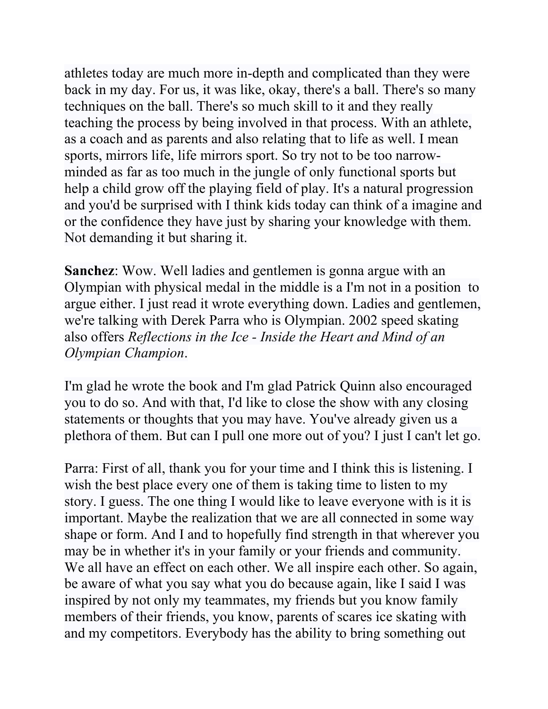athletes today are much more in-depth and complicated than they were back in my day. For us, it was like, okay, there's a ball. There's so many techniques on the ball. There's so much skill to it and they really teaching the process by being involved in that process. With an athlete, as a coach and as parents and also relating that to life as well. I mean sports, mirrors life, life mirrors sport. So try not to be too narrowminded as far as too much in the jungle of only functional sports but help a child grow off the playing field of play. It's a natural progression and you'd be surprised with I think kids today can think of a imagine and or the confidence they have just by sharing your knowledge with them. Not demanding it but sharing it.

**Sanchez**: Wow. Well ladies and gentlemen is gonna argue with an Olympian with physical medal in the middle is a I'm not in a position to argue either. I just read it wrote everything down. Ladies and gentlemen, we're talking with Derek Parra who is Olympian. 2002 speed skating also offers *Reflections in the Ice - Inside the Heart and Mind of an Olympian Champion*.

I'm glad he wrote the book and I'm glad Patrick Quinn also encouraged you to do so. And with that, I'd like to close the show with any closing statements or thoughts that you may have. You've already given us a plethora of them. But can I pull one more out of you? I just I can't let go.

Parra: First of all, thank you for your time and I think this is listening. I wish the best place every one of them is taking time to listen to my story. I guess. The one thing I would like to leave everyone with is it is important. Maybe the realization that we are all connected in some way shape or form. And I and to hopefully find strength in that wherever you may be in whether it's in your family or your friends and community. We all have an effect on each other. We all inspire each other. So again, be aware of what you say what you do because again, like I said I was inspired by not only my teammates, my friends but you know family members of their friends, you know, parents of scares ice skating with and my competitors. Everybody has the ability to bring something out